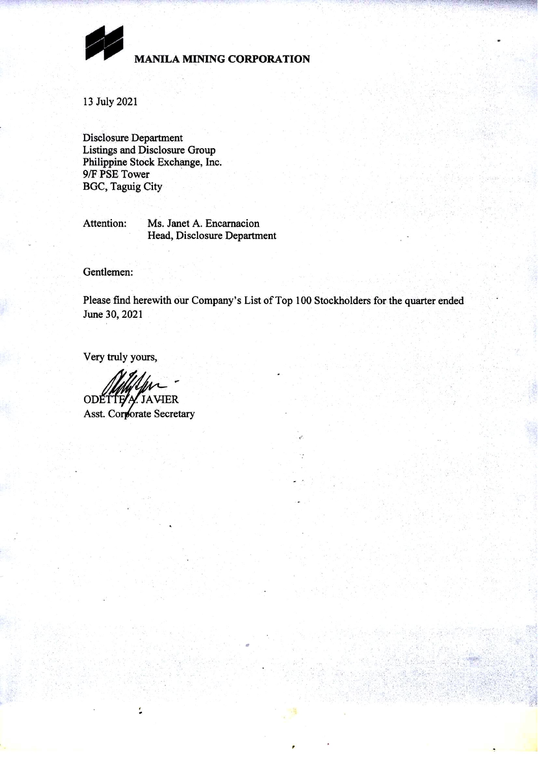

**MANILA MINING CORPORATION** 

13 July 2021

**Disclosure Department** Listings and Disclosure Group Philippine Stock Exchange, Inc. 9/F PSE Tower **BGC, Taguig City** 

Attention: Ms. Janet A. Encarnacion Head, Disclosure Department

Gentlemen:

Please find herewith our Company's List of Top 100 Stockholders for the quarter ended June 30, 2021

Very truly yours,

ODETTE/A JAVIER Asst. Corporate Secretary

ţ.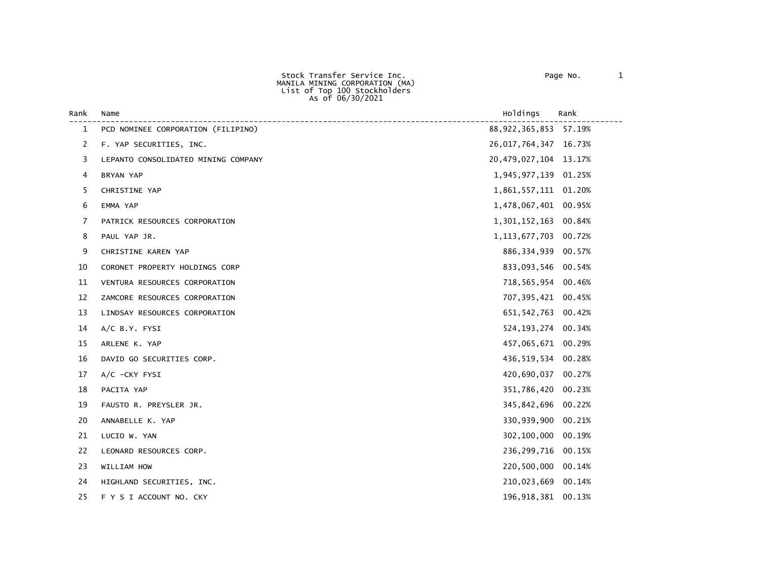Stock Transfer Service Inc. Page No. 1 MANILA MINING CORPORATION (MA) List of Top 100 Stockholders As of 06/30/2021

| Rank         | Name                                | Holdings                  | Rank   |
|--------------|-------------------------------------|---------------------------|--------|
| $\mathbf{1}$ | PCD NOMINEE CORPORATION (FILIPINO)  | 88, 922, 365, 853 57. 19% |        |
| 2            | F. YAP SECURITIES, INC.             | 26,017,764,347 16.73%     |        |
| 3            | LEPANTO CONSOLIDATED MINING COMPANY | 20, 479, 027, 104 13.17%  |        |
| 4            | <b>BRYAN YAP</b>                    | 1,945,977,139 01.25%      |        |
| 5            | CHRISTINE YAP                       | 1,861,557,111 01.20%      |        |
| 6            | EMMA YAP                            | 1,478,067,401 00.95%      |        |
| 7            | PATRICK RESOURCES CORPORATION       | 1,301,152,163             | 00.84% |
| 8            | PAUL YAP JR.                        | 1, 113, 677, 703          | 00.72% |
| 9            | CHRISTINE KAREN YAP                 | 886, 334, 939 00.57%      |        |
| 10           | CORONET PROPERTY HOLDINGS CORP      | 833,093,546               | 00.54% |
| 11           | VENTURA RESOURCES CORPORATION       | 718,565,954 00.46%        |        |
| 12           | ZAMCORE RESOURCES CORPORATION       | 707,395,421               | 00.45% |
| 13           | LINDSAY RESOURCES CORPORATION       | 651, 542, 763 00.42%      |        |
| 14           | A/C B.Y. FYSI                       | 524, 193, 274 00. 34%     |        |
| 15           | ARLENE K. YAP                       | 457,065,671 00.29%        |        |
| 16           | DAVID GO SECURITIES CORP.           | 436,519,534               | 00.28% |
| 17           | $A/C$ -CKY FYSI                     | 420,690,037               | 00.27% |
| 18           | PACITA YAP                          | 351,786,420               | 00.23% |
| 19           | FAUSTO R. PREYSLER JR.              | 345,842,696               | 00.22% |
| 20           | ANNABELLE K. YAP                    | 330,939,900               | 00.21% |
| 21           | LUCIO W. YAN                        | 302,100,000               | 00.19% |
| 22           | LEONARD RESOURCES CORP.             | 236, 299, 716 00.15%      |        |
| 23           | WILLIAM HOW                         | 220,500,000               | 00.14% |
| 24           | HIGHLAND SECURITIES, INC.           | 210,023,669               | 00.14% |
| 25           | F Y S I ACCOUNT NO. CKY             | 196,918,381               | 00.13% |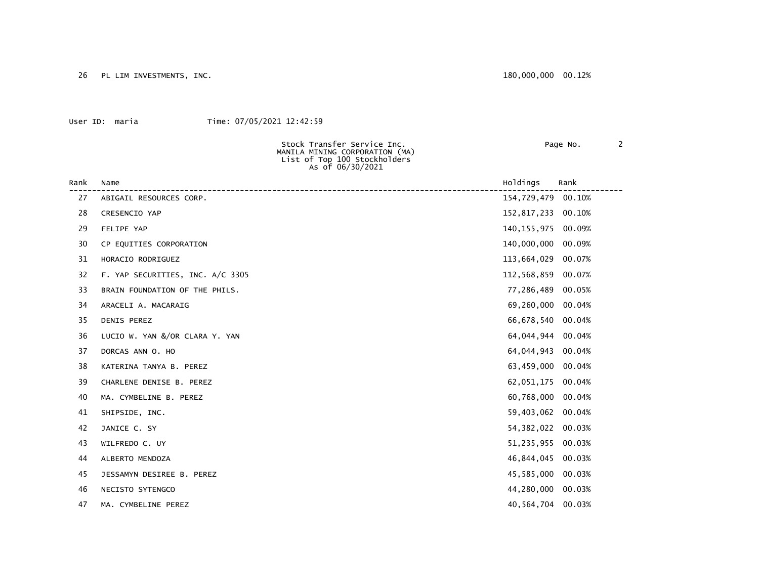26 PL LIM INVESTMENTS, INC. 2012 180,000,000 00.12%

### User ID: maria Time: 07/05/2021 12:42:59

MANILA MINING CORPORATION (MA) List of Top 100 Stockholders

As of 06/30/2021

Stock Transfer Service Inc. Page No. 2

| Rank | Name                             | Holdings           | Rank   |
|------|----------------------------------|--------------------|--------|
| 27   | ABIGAIL RESOURCES CORP.          | 154,729,479        | 00.10% |
| 28   | CRESENCIO YAP                    | 152,817,233 00.10% |        |
| 29   | FELIPE YAP                       | 140, 155, 975      | 00.09% |
| 30   | CP EQUITIES CORPORATION          | 140,000,000        | 00.09% |
| 31   | HORACIO RODRIGUEZ                | 113,664,029        | 00.07% |
| 32   | F. YAP SECURITIES, INC. A/C 3305 | 112,568,859 00.07% |        |
| 33   | BRAIN FOUNDATION OF THE PHILS.   | 77,286,489         | 00.05% |
| 34   | ARACELI A. MACARAIG              | 69,260,000         | 00.04% |
| 35   | DENIS PEREZ                      | 66,678,540 00.04%  |        |
| 36   | LUCIO W. YAN &/OR CLARA Y. YAN   | 64,044,944         | 00.04% |
| 37   | DORCAS ANN O. HO                 | 64,044,943         | 00.04% |
| 38   | KATERINA TANYA B. PEREZ          | 63,459,000         | 00.04% |
| 39   | CHARLENE DENISE B. PEREZ         | 62,051,175         | 00.04% |
| 40   | MA. CYMBELINE B. PEREZ           | 60,768,000         | 00.04% |
| 41   | SHIPSIDE, INC.                   | 59,403,062         | 00.04% |
| 42   | JANICE C. SY                     | 54, 382, 022       | 00.03% |
| 43   | WILFREDO C. UY                   | 51,235,955 00.03%  |        |
| 44   | ALBERTO MENDOZA                  | 46,844,045         | 00.03% |
| 45   | JESSAMYN DESIREE B. PEREZ        | 45,585,000         | 00.03% |
| 46   | NECISTO SYTENGCO                 | 44,280,000 00.03%  |        |
| 47   | MA. CYMBELINE PEREZ              | 40,564,704         | 00.03% |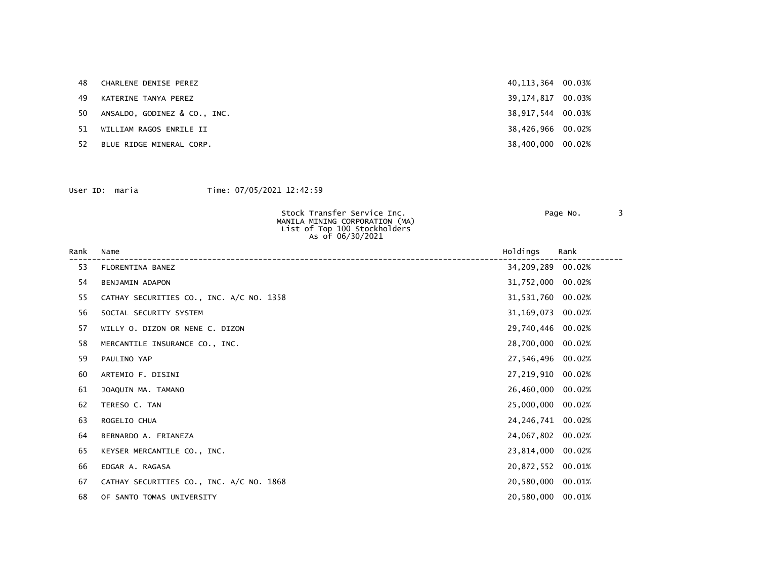|    | 48<br>CHARLENE DENISE PEREZ    | 40, 113, 364 00. 03% |  |
|----|--------------------------------|----------------------|--|
| 49 | KATERINE TANYA PEREZ           | 39, 174, 817 00.03%  |  |
| 50 | ANSALDO. GODINEZ & CO INC.     | 38,917,544 00.03%    |  |
|    | 51.<br>WILLIAM RAGOS ENRILE II | 38,426,966 00.02%    |  |
| 52 | BLUE RIDGE MINERAL CORP.       | 38,400,000 00.02%    |  |

| Stock Transfer Service Inc.    | Page No. |  |
|--------------------------------|----------|--|
| MANILA MINING CORPORATION (MA) |          |  |
| List of Top 100 Stockholders   |          |  |
| As of 06/30/2021               |          |  |
|                                |          |  |

| Rank | Name                                     | Holdings            | Rank |
|------|------------------------------------------|---------------------|------|
| 53   | FLORENTINA BANEZ                         | 34,209,289 00.02%   |      |
| 54   | BENJAMIN ADAPON                          | 31,752,000 00.02%   |      |
| 55   | CATHAY SECURITIES CO., INC. A/C NO. 1358 | 31,531,760 00.02%   |      |
| 56   | SOCIAL SECURITY SYSTEM                   | 31, 169, 073 00.02% |      |
| 57   | WILLY 0. DIZON OR NENE C. DIZON          | 29,740,446 00.02%   |      |
| 58   | MERCANTILE INSURANCE CO., INC.           | 28,700,000 00.02%   |      |
| 59   | PAULINO YAP                              | 27,546,496 00.02%   |      |
| 60   | ARTEMIO F. DISINI                        | 27,219,910 00.02%   |      |
| 61   | JOAQUIN MA. TAMANO                       | 26,460,000 00.02%   |      |
| 62   | TERESO C. TAN                            | 25,000,000 00.02%   |      |
| 63   | ROGELIO CHUA                             | 24, 246, 741 00.02% |      |
| 64   | BERNARDO A. FRIANEZA                     | 24,067,802 00.02%   |      |
| 65   | KEYSER MERCANTILE CO., INC.              | 23,814,000 00.02%   |      |
| 66   | EDGAR A. RAGASA                          | 20,872,552 00.01%   |      |
| 67   | CATHAY SECURITIES CO., INC. A/C NO. 1868 | 20,580,000 00.01%   |      |
| 68   | OF SANTO TOMAS UNIVERSITY                | 20,580,000 00.01%   |      |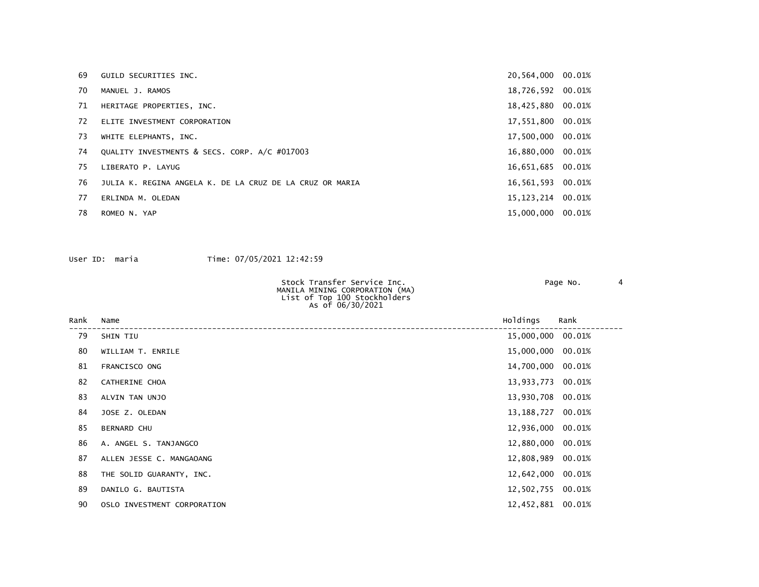| 69 | GUILD SECURITIES INC.                                    | 20,564,000 00.01%   |  |
|----|----------------------------------------------------------|---------------------|--|
| 70 | MANUEL J. RAMOS                                          | 18,726,592 00.01%   |  |
| 71 | HERITAGE PROPERTIES, INC.                                | 18,425,880 00.01%   |  |
| 72 | ELITE INVESTMENT CORPORATION                             | 17,551,800 00.01%   |  |
| 73 | WHITE ELEPHANTS, INC.                                    | 17,500,000 00.01%   |  |
| 74 | QUALITY INVESTMENTS & SECS. CORP. A/C #017003            | 16,880,000 00.01%   |  |
| 75 | LIBERATO P. LAYUG                                        | 16,651,685 00.01%   |  |
| 76 | JULIA K. REGINA ANGELA K. DE LA CRUZ DE LA CRUZ OR MARIA | 16,561,593 00.01%   |  |
| 77 | ERLINDA M. OLEDAN                                        | 15, 123, 214 00.01% |  |
| 78 | ROMEO N. YAP                                             | 15,000,000 00.01%   |  |

| Stock Transfer Service Inc.                      | Page No. |  |
|--------------------------------------------------|----------|--|
| MANILA MINING CORPORATION (MA)                   |          |  |
| List of Top 100 Stockholders<br>As of 06/30/2021 |          |  |
|                                                  |          |  |

| Rank | Name                        | Holdings          | Rank   |
|------|-----------------------------|-------------------|--------|
| 79   | SHIN TIU                    | 15,000,000 00.01% |        |
| 80   | WILLIAM T. ENRILE           | 15,000,000 00.01% |        |
| 81   | FRANCISCO ONG               | 14,700,000 00.01% |        |
| 82   | CATHERINE CHOA              | 13,933,773        | 00.01% |
| 83   | ALVIN TAN UNJO              | 13,930,708 00.01% |        |
| 84   | JOSE Z. OLEDAN              | 13,188,727        | 00.01% |
| 85   | <b>BERNARD CHU</b>          | 12,936,000 00.01% |        |
| 86   | A. ANGEL S. TANJANGCO       | 12,880,000 00.01% |        |
| 87   | ALLEN JESSE C. MANGAOANG    | 12,808,989 00.01% |        |
| 88   | THE SOLID GUARANTY, INC.    | 12,642,000        | 00.01% |
| 89   | DANILO G. BAUTISTA          | 12,502,755 00.01% |        |
| 90   | OSLO INVESTMENT CORPORATION | 12,452,881 00.01% |        |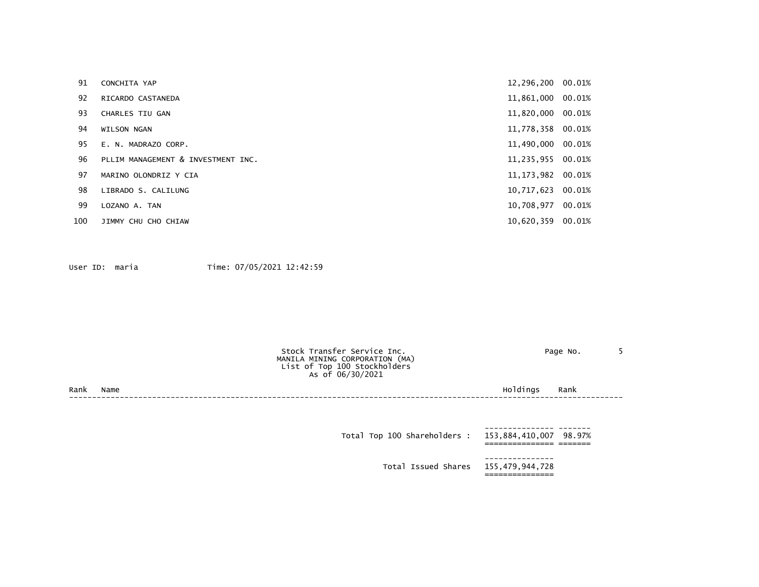| 91  | CONCHITA YAP                       | 12,296,200 00.01%   |        |
|-----|------------------------------------|---------------------|--------|
| 92  | RICARDO CASTANEDA                  | 11,861,000 00.01%   |        |
| 93  | <b>CHARLES TIU GAN</b>             | 11,820,000 00.01%   |        |
| 94  | <b>WILSON NGAN</b>                 | 11,778,358 00.01%   |        |
| 95  | E. N. MADRAZO CORP.                | 11,490,000 00.01%   |        |
| 96  | PLLIM MANAGEMENT & INVESTMENT INC. | 11,235,955 00.01%   |        |
| 97  | MARINO OLONDRIZ Y CIA              | 11, 173, 982 00.01% |        |
| 98  | LIBRADO S. CALILUNG                | 10,717,623 00.01%   |        |
| 99  | LOZANO A. TAN                      | 10.708.977          | 00.01% |
| 100 | JIMMY CHU CHO CHIAW                | 10,620,359 00.01%   |        |

|      |      | Stock Transfer Service Inc.<br>MANILA MINING CORPORATION (MA)<br>List of Top 100 Stockholders<br>As of 06/30/2021 |          | Page No. |  |
|------|------|-------------------------------------------------------------------------------------------------------------------|----------|----------|--|
| Rank | Name |                                                                                                                   | Holdings | Rank     |  |
|      |      |                                                                                                                   |          |          |  |
|      |      |                                                                                                                   |          |          |  |

| Total Top 100 Shareholders : 153,884,410,007 98.97% |  |
|-----------------------------------------------------|--|
| Total Issued Shares 155,479,944,728                 |  |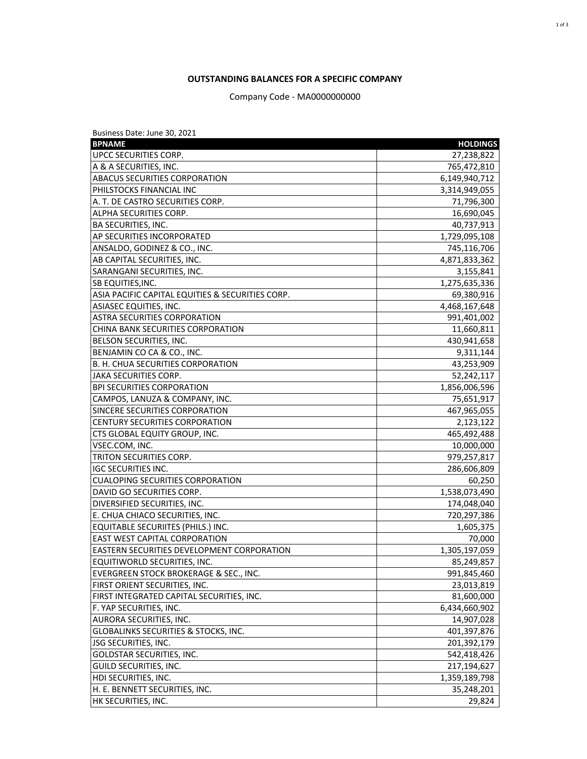# **OUTSTANDING BALANCES FOR A SPECIFIC COMPANY**

Company Code - MA0000000000

| Business Date: June 30, 2021                     |                 |
|--------------------------------------------------|-----------------|
| <b>BPNAME</b>                                    | <b>HOLDINGS</b> |
| UPCC SECURITIES CORP.                            | 27,238,822      |
| A & A SECURITIES, INC.                           | 765,472,810     |
| <b>ABACUS SECURITIES CORPORATION</b>             | 6,149,940,712   |
| PHILSTOCKS FINANCIAL INC                         | 3,314,949,055   |
| A. T. DE CASTRO SECURITIES CORP.                 | 71,796,300      |
| ALPHA SECURITIES CORP.                           | 16,690,045      |
| BA SECURITIES, INC.                              | 40,737,913      |
| AP SECURITIES INCORPORATED                       | 1,729,095,108   |
| ANSALDO, GODINEZ & CO., INC.                     | 745,116,706     |
| AB CAPITAL SECURITIES, INC.                      | 4,871,833,362   |
| SARANGANI SECURITIES, INC.                       | 3,155,841       |
| SB EQUITIES, INC.                                | 1,275,635,336   |
| ASIA PACIFIC CAPITAL EQUITIES & SECURITIES CORP. | 69,380,916      |
| ASIASEC EQUITIES, INC.                           | 4,468,167,648   |
| <b>ASTRA SECURITIES CORPORATION</b>              | 991,401,002     |
| CHINA BANK SECURITIES CORPORATION                | 11,660,811      |
| BELSON SECURITIES, INC.                          | 430,941,658     |
| BENJAMIN CO CA & CO., INC.                       | 9,311,144       |
| B. H. CHUA SECURITIES CORPORATION                | 43,253,909      |
| <b>JAKA SECURITIES CORP.</b>                     | 52,242,117      |
| <b>BPI SECURITIES CORPORATION</b>                | 1,856,006,596   |
| CAMPOS, LANUZA & COMPANY, INC.                   | 75,651,917      |
| SINCERE SECURITIES CORPORATION                   | 467,965,055     |
| CENTURY SECURITIES CORPORATION                   | 2,123,122       |
| CTS GLOBAL EQUITY GROUP, INC.                    | 465,492,488     |
| VSEC.COM, INC.                                   | 10,000,000      |
| TRITON SECURITIES CORP.                          | 979,257,817     |
| <b>IGC SECURITIES INC.</b>                       | 286,606,809     |
| <b>CUALOPING SECURITIES CORPORATION</b>          | 60,250          |
| DAVID GO SECURITIES CORP.                        | 1,538,073,490   |
| DIVERSIFIED SECURITIES, INC.                     | 174,048,040     |
| E. CHUA CHIACO SECURITIES, INC.                  | 720,297,386     |
| EQUITABLE SECURIITES (PHILS.) INC.               | 1,605,375       |
| <b>EAST WEST CAPITAL CORPORATION</b>             | 70,000          |
| EASTERN SECURITIES DEVELOPMENT CORPORATION       | 1,305,197,059   |
| EQUITIWORLD SECURITIES, INC.                     | 85,249,857      |
| EVERGREEN STOCK BROKERAGE & SEC., INC.           | 991,845,460     |
| FIRST ORIENT SECURITIES, INC.                    | 23,013,819      |
| FIRST INTEGRATED CAPITAL SECURITIES, INC.        | 81,600,000      |
| F. YAP SECURITIES, INC.                          | 6,434,660,902   |
| <b>AURORA SECURITIES, INC.</b>                   | 14,907,028      |
| GLOBALINKS SECURITIES & STOCKS, INC.             | 401,397,876     |
| <b>JSG SECURITIES, INC.</b>                      | 201,392,179     |
| <b>GOLDSTAR SECURITIES, INC.</b>                 | 542,418,426     |
| GUILD SECURITIES, INC.                           | 217,194,627     |
| HDI SECURITIES, INC.                             | 1,359,189,798   |
| H. E. BENNETT SECURITIES, INC.                   | 35,248,201      |
| HK SECURITIES, INC.                              | 29,824          |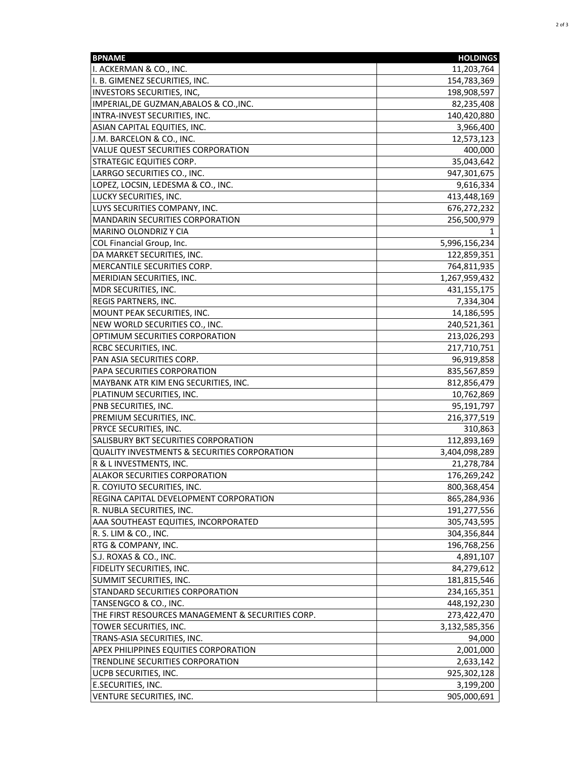| <b>BPNAME</b>                                           | <b>HOLDINGS</b> |
|---------------------------------------------------------|-----------------|
| I. ACKERMAN & CO., INC.                                 | 11,203,764      |
| I. B. GIMENEZ SECURITIES, INC.                          | 154,783,369     |
| <b>INVESTORS SECURITIES, INC,</b>                       | 198,908,597     |
| IMPERIAL, DE GUZMAN, ABALOS & CO., INC.                 | 82,235,408      |
| INTRA-INVEST SECURITIES, INC.                           | 140,420,880     |
| ASIAN CAPITAL EQUITIES, INC.                            | 3,966,400       |
| J.M. BARCELON & CO., INC.                               | 12,573,123      |
| VALUE QUEST SECURITIES CORPORATION                      | 400,000         |
| <b>STRATEGIC EQUITIES CORP.</b>                         | 35,043,642      |
| LARRGO SECURITIES CO., INC.                             | 947,301,675     |
| LOPEZ, LOCSIN, LEDESMA & CO., INC.                      | 9,616,334       |
| LUCKY SECURITIES, INC.                                  | 413,448,169     |
| LUYS SECURITIES COMPANY, INC.                           | 676,272,232     |
| MANDARIN SECURITIES CORPORATION                         | 256,500,979     |
| MARINO OLONDRIZ Y CIA                                   |                 |
| COL Financial Group, Inc.                               | 5,996,156,234   |
| DA MARKET SECURITIES, INC.                              | 122,859,351     |
| MERCANTILE SECURITIES CORP.                             | 764,811,935     |
| MERIDIAN SECURITIES, INC.                               | 1,267,959,432   |
| MDR SECURITIES, INC.                                    | 431,155,175     |
| <b>REGIS PARTNERS, INC.</b>                             | 7,334,304       |
| MOUNT PEAK SECURITIES, INC.                             | 14,186,595      |
| NEW WORLD SECURITIES CO., INC.                          | 240,521,361     |
| OPTIMUM SECURITIES CORPORATION                          | 213,026,293     |
| <b>RCBC SECURITIES, INC.</b>                            | 217,710,751     |
| PAN ASIA SECURITIES CORP.                               | 96,919,858      |
| PAPA SECURITIES CORPORATION                             | 835,567,859     |
| MAYBANK ATR KIM ENG SECURITIES, INC.                    | 812,856,479     |
| PLATINUM SECURITIES, INC.                               | 10,762,869      |
| PNB SECURITIES, INC.                                    | 95,191,797      |
| PREMIUM SECURITIES, INC.                                | 216,377,519     |
| PRYCE SECURITIES, INC.                                  | 310,863         |
| SALISBURY BKT SECURITIES CORPORATION                    | 112,893,169     |
| <b>QUALITY INVESTMENTS &amp; SECURITIES CORPORATION</b> | 3,404,098,289   |
| R & L INVESTMENTS, INC.                                 | 21,278,784      |
| <b>ALAKOR SECURITIES CORPORATION</b>                    | 176,269,242     |
| R. COYIUTO SECURITIES, INC.                             | 800,368,454     |
| REGINA CAPITAL DEVELOPMENT CORPORATION                  | 865,284,936     |
| R. NUBLA SECURITIES, INC.                               | 191,277,556     |
| AAA SOUTHEAST EQUITIES, INCORPORATED                    | 305,743,595     |
| R. S. LIM & CO., INC.                                   | 304,356,844     |
| RTG & COMPANY, INC.                                     | 196,768,256     |
| S.J. ROXAS & CO., INC.                                  | 4,891,107       |
| FIDELITY SECURITIES, INC.                               | 84,279,612      |
| SUMMIT SECURITIES, INC.                                 | 181,815,546     |
| STANDARD SECURITIES CORPORATION                         | 234,165,351     |
| TANSENGCO & CO., INC.                                   | 448,192,230     |
| THE FIRST RESOURCES MANAGEMENT & SECURITIES CORP.       | 273,422,470     |
| TOWER SECURITIES, INC.                                  | 3,132,585,356   |
| TRANS-ASIA SECURITIES, INC.                             | 94,000          |
| <b>APEX PHILIPPINES EQUITIES CORPORATION</b>            | 2,001,000       |
| TRENDLINE SECURITIES CORPORATION                        | 2,633,142       |
| UCPB SECURITIES, INC.                                   | 925,302,128     |
| E.SECURITIES, INC.                                      | 3,199,200       |
| VENTURE SECURITIES, INC.                                | 905,000,691     |
|                                                         |                 |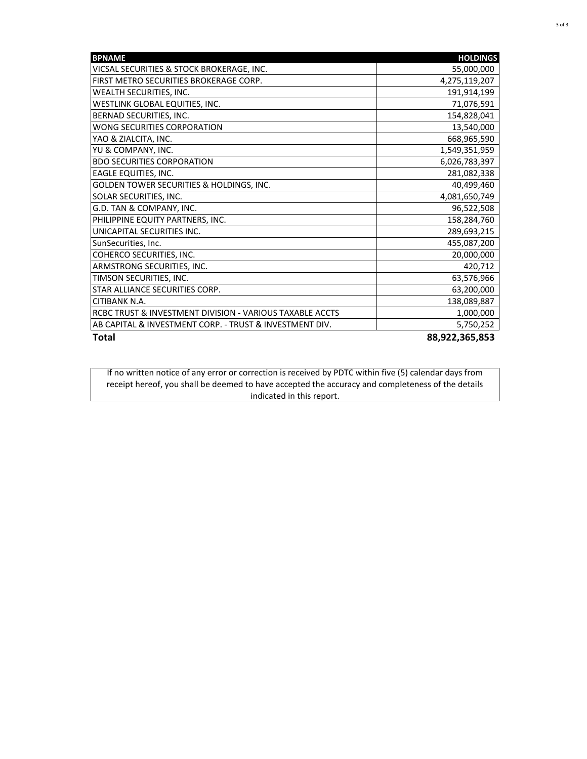| <b>BPNAME</b>                                            | <b>HOLDINGS</b> |
|----------------------------------------------------------|-----------------|
| VICSAL SECURITIES & STOCK BROKERAGE, INC.                | 55,000,000      |
| FIRST METRO SECURITIES BROKERAGE CORP.                   | 4,275,119,207   |
| WEALTH SECURITIES, INC.                                  | 191,914,199     |
| WESTLINK GLOBAL EQUITIES, INC.                           | 71,076,591      |
| BERNAD SECURITIES, INC.                                  | 154,828,041     |
| WONG SECURITIES CORPORATION                              | 13,540,000      |
| YAO & ZIALCITA, INC.                                     | 668,965,590     |
| YU & COMPANY, INC.                                       | 1,549,351,959   |
| <b>BDO SECURITIES CORPORATION</b>                        | 6,026,783,397   |
| EAGLE EQUITIES, INC.                                     | 281,082,338     |
| GOLDEN TOWER SECURITIES & HOLDINGS, INC.                 | 40,499,460      |
| SOLAR SECURITIES, INC.                                   | 4,081,650,749   |
| G.D. TAN & COMPANY, INC.                                 | 96,522,508      |
| PHILIPPINE EQUITY PARTNERS, INC.                         | 158,284,760     |
| UNICAPITAL SECURITIES INC.                               | 289,693,215     |
| SunSecurities, Inc.                                      | 455,087,200     |
| COHERCO SECURITIES, INC.                                 | 20,000,000      |
| ARMSTRONG SECURITIES, INC.                               | 420,712         |
| TIMSON SECURITIES, INC.                                  | 63,576,966      |
| STAR ALLIANCE SECURITIES CORP.                           | 63,200,000      |
| CITIBANK N.A.                                            | 138,089,887     |
| RCBC TRUST & INVESTMENT DIVISION - VARIOUS TAXABLE ACCTS | 1,000,000       |
| AB CAPITAL & INVESTMENT CORP. - TRUST & INVESTMENT DIV.  | 5,750,252       |
| <b>Total</b>                                             | 88,922,365,853  |

If no written notice of any error or correction is received by PDTC within five (5) calendar days from receipt hereof, you shall be deemed to have accepted the accuracy and completeness of the details indicated in this report.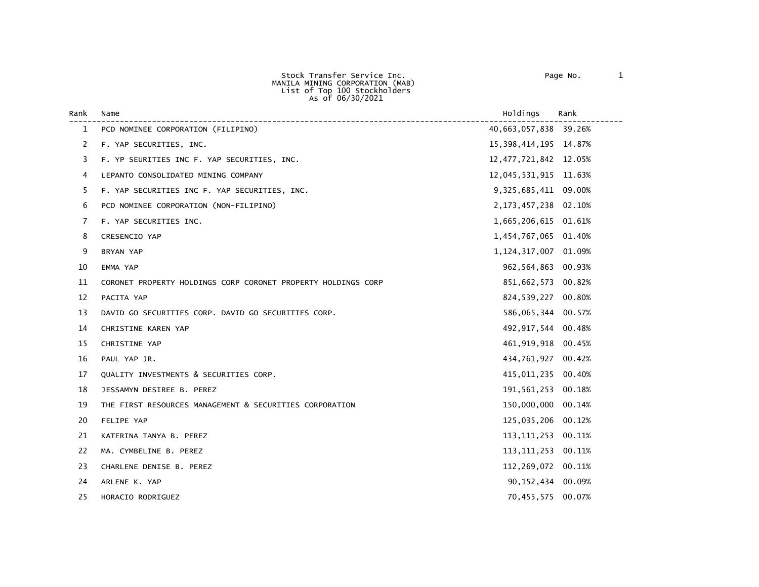Stock Transfer Service Inc. Page No. 1 MANILA MINING CORPORATION (MAB) List of Top 100 Stockholders As of 06/30/2021

| Rank | Name                                                          | Holdings                 | Rank   |
|------|---------------------------------------------------------------|--------------------------|--------|
| 1    | PCD NOMINEE CORPORATION (FILIPINO)                            | 40,663,057,838 39.26%    |        |
| 2    | F. YAP SECURITIES, INC.                                       | 15, 398, 414, 195 14.87% |        |
| 3    | F. YP SEURITIES INC F. YAP SECURITIES, INC.                   | 12, 477, 721, 842 12.05% |        |
| 4    | LEPANTO CONSOLIDATED MINING COMPANY                           | 12,045,531,915 11.63%    |        |
| 5    | F. YAP SECURITIES INC F. YAP SECURITIES, INC.                 | 9, 325, 685, 411 09.00%  |        |
| 6    | PCD NOMINEE CORPORATION (NON-FILIPINO)                        | 2, 173, 457, 238 02. 10% |        |
| 7    | F. YAP SECURITIES INC.                                        | 1,665,206,615            | 01.61% |
| 8    | CRESENCIO YAP                                                 | 1,454,767,065            | 01.40% |
| 9    | BRYAN YAP                                                     | 1, 124, 317, 007 01.09%  |        |
| 10   | EMMA YAP                                                      | 962,564,863              | 00.93% |
| 11   | CORONET PROPERTY HOLDINGS CORP CORONET PROPERTY HOLDINGS CORP | 851,662,573              | 00.82% |
| 12   | PACITA YAP                                                    | 824,539,227              | 00.80% |
| 13   | DAVID GO SECURITIES CORP. DAVID GO SECURITIES CORP.           | 586,065,344              | 00.57% |
| 14   | CHRISTINE KAREN YAP                                           | 492, 917, 544 00.48%     |        |
| 15   | CHRISTINE YAP                                                 | 461,919,918              | 00.45% |
| 16   | PAUL YAP JR.                                                  | 434,761,927              | 00.42% |
| 17   | QUALITY INVESTMENTS & SECURITIES CORP.                        | 415,011,235              | 00.40% |
| 18   | JESSAMYN DESIREE B. PEREZ                                     | 191,561,253              | 00.18% |
| 19   | THE FIRST RESOURCES MANAGEMENT & SECURITIES CORPORATION       | 150,000,000              | 00.14% |
| 20   | FELIPE YAP                                                    | 125,035,206              | 00.12% |
| 21   | KATERINA TANYA B. PEREZ                                       | 113, 111, 253            | 00.11% |
| 22   | MA. CYMBELINE B. PEREZ                                        | 113, 111, 253            | 00.11% |
| 23   | CHARLENE DENISE B. PEREZ                                      | 112,269,072 00.11%       |        |
| 24   | ARLENE K. YAP                                                 | 90, 152, 434 00.09%      |        |
| 25   | HORACIO RODRIGUEZ                                             | 70,455,575 00.07%        |        |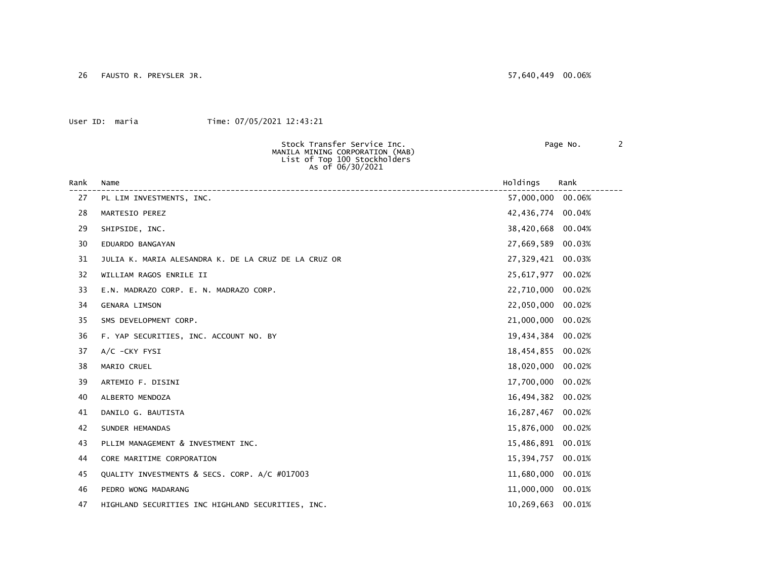26 FAUSTO R. PREYSLER JR. 57,640,449 00.06%

|      | Stock Transfer Service Inc.<br>MANILA MINING CORPORATION (MAB)<br>List of Top 100 Stockholders<br>As of 06/30/2021 |                   |        | Page No. |  | $\mathbf{2}$ |
|------|--------------------------------------------------------------------------------------------------------------------|-------------------|--------|----------|--|--------------|
| Rank | Name                                                                                                               | Holdings          | Rank   |          |  |              |
| 27   | PL LIM INVESTMENTS, INC.                                                                                           | 57,000,000 00.06% |        |          |  |              |
| 28   | MARTESIO PEREZ                                                                                                     | 42,436,774 00.04% |        |          |  |              |
| 29   | SHIPSIDE, INC.                                                                                                     | 38,420,668        | 00.04% |          |  |              |
| 30   | EDUARDO BANGAYAN                                                                                                   | 27,669,589 00.03% |        |          |  |              |
| 31   | JULIA K. MARIA ALESANDRA K. DE LA CRUZ DE LA CRUZ OR                                                               | 27,329,421 00.03% |        |          |  |              |
| 32   | WILLIAM RAGOS ENRILE II                                                                                            | 25,617,977 00.02% |        |          |  |              |
| 33   | E.N. MADRAZO CORP. E. N. MADRAZO CORP.                                                                             | 22,710,000        | 00.02% |          |  |              |
| 34   | <b>GENARA LIMSON</b>                                                                                               | 22,050,000        | 00.02% |          |  |              |
| 35   | SMS DEVELOPMENT CORP.                                                                                              | 21,000,000 00.02% |        |          |  |              |
| 36   | F. YAP SECURITIES, INC. ACCOUNT NO. BY                                                                             | 19,434,384 00.02% |        |          |  |              |
| 37   | A/C -CKY FYSI                                                                                                      | 18,454,855 00.02% |        |          |  |              |
| 38   | MARIO CRUEL                                                                                                        | 18,020,000        | 00.02% |          |  |              |
| 39   | ARTEMIO F. DISINI                                                                                                  | 17,700,000        | 00.02% |          |  |              |
| 40   | ALBERTO MENDOZA                                                                                                    | 16,494,382        | 00.02% |          |  |              |
| 41   | DANILO G. BAUTISTA                                                                                                 | 16,287,467        | 00.02% |          |  |              |
| 42   | SUNDER HEMANDAS                                                                                                    | 15,876,000        | 00.02% |          |  |              |
| 43   | PLLIM MANAGEMENT & INVESTMENT INC.                                                                                 | 15,486,891 00.01% |        |          |  |              |
| 44   | CORE MARITIME CORPORATION                                                                                          | 15,394,757 00.01% |        |          |  |              |
| 45   | QUALITY INVESTMENTS & SECS. CORP. A/C #017003                                                                      | 11,680,000 00.01% |        |          |  |              |
| 46   | PEDRO WONG MADARANG                                                                                                | 11,000,000 00.01% |        |          |  |              |
| 47   | HIGHLAND SECURITIES INC HIGHLAND SECURITIES, INC.                                                                  | 10,269,663        | 00.01% |          |  |              |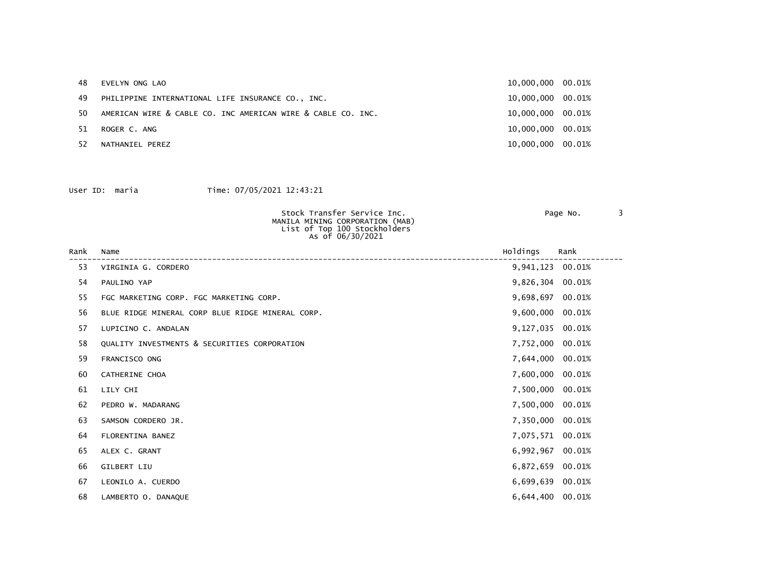| 48  | EVELYN ONG LAO                                               | 10,000,000 00.01% |  |
|-----|--------------------------------------------------------------|-------------------|--|
| 49  | PHILIPPINE INTERNATIONAL LIFE INSURANCE CO., INC.            | 10,000,000 00.01% |  |
| 50  | AMERICAN WIRE & CABLE CO. INC AMERICAN WIRE & CABLE CO. INC. | 10,000,000 00.01% |  |
| 51. | ROGER C. ANG                                                 | 10,000,000 00.01% |  |
| 52  | NATHANIEL PEREZ                                              | 10,000,000 00.01% |  |

| Stock Transfer Service Inc.<br>MANILA MINING CORPORATION (MAB)<br>List of Top 100 Stockholders<br>As of 06/30/2021 | Page No. |  |
|--------------------------------------------------------------------------------------------------------------------|----------|--|
|                                                                                                                    |          |  |

| Rank | Name                                             | Holdings         | Rank   |
|------|--------------------------------------------------|------------------|--------|
| 53   | VIRGINIA G. CORDERO                              | 9,941,123 00.01% |        |
| 54   | PAULINO YAP                                      | 9,826,304 00.01% |        |
| 55   | FGC MARKETING CORP. FGC MARKETING CORP.          | 9,698,697        | 00.01% |
| 56   | BLUE RIDGE MINERAL CORP BLUE RIDGE MINERAL CORP. | 9,600,000 00.01% |        |
| 57   | LUPICINO C. ANDALAN                              | 9,127,035 00.01% |        |
| 58   | QUALITY INVESTMENTS & SECURITIES CORPORATION     | 7,752,000 00.01% |        |
| 59   | FRANCISCO ONG                                    | 7,644,000 00.01% |        |
| 60   | CATHERINE CHOA                                   | 7,600,000 00.01% |        |
| 61   | LILY CHI                                         | 7,500,000 00.01% |        |
| 62   | PEDRO W. MADARANG                                | 7,500,000 00.01% |        |
| 63   | SAMSON CORDERO JR.                               | 7,350,000 00.01% |        |
| 64   | FLORENTINA BANEZ                                 | 7,075,571 00.01% |        |
| 65   | ALEX C. GRANT                                    | 6,992,967 00.01% |        |
| 66   | GILBERT LIU                                      | 6,872,659        | 00.01% |
| 67   | LEONILO A. CUERDO                                | 6,699,639 00.01% |        |
| 68   | LAMBERTO O. DANAQUE                              | 6,644,400 00.01% |        |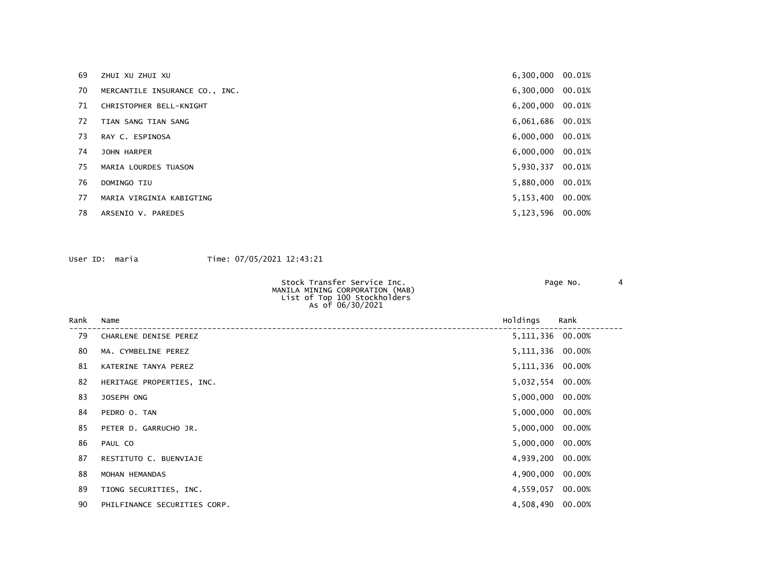| 69 | ZHUI XU ZHUI XU                | 6,300,000 00.01%   |  |
|----|--------------------------------|--------------------|--|
| 70 | MERCANTILE INSURANCE CO., INC. | 6,300,000 00.01%   |  |
| 71 | CHRISTOPHER BELL-KNIGHT        | 6,200,000 00.01%   |  |
| 72 | TIAN SANG TIAN SANG            | 6,061,686 00.01%   |  |
| 73 | RAY C. ESPINOSA                | 6,000,000 00.01%   |  |
| 74 | JOHN HARPER                    | $6,000,000$ 00.01% |  |
| 75 | MARIA LOURDES TUASON           | 5,930,337 00.01%   |  |
| 76 | DOMINGO TIU                    | 5,880,000 00.01%   |  |
| 77 | MARIA VIRGINIA KABIGTING       | 5,153,400 00.00%   |  |
| 78 | ARSENIO V. PAREDES             | 5,123,596 00.00%   |  |

| Stock Transfer Service Inc.<br>MANILA MINING CORPORATION (MAB)<br>List of Top 100 Stockholders | Page No. |  |
|------------------------------------------------------------------------------------------------|----------|--|
| As of 06/30/2021                                                                               |          |  |

| Rank | Name                         | Holdings           | Rank |
|------|------------------------------|--------------------|------|
| 79   | CHARLENE DENISE PEREZ        | 5, 111, 336 00.00% |      |
| 80   | MA. CYMBELINE PEREZ          | 5, 111, 336 00.00% |      |
| 81   | KATERINE TANYA PEREZ         | 5, 111, 336 00.00% |      |
| 82   | HERITAGE PROPERTIES, INC.    | 5,032,554 00.00%   |      |
| 83   | JOSEPH ONG                   | 5,000,000 00.00%   |      |
| 84   | PEDRO O. TAN                 | 5,000,000 00.00%   |      |
| 85   | PETER D. GARRUCHO JR.        | 5,000,000 00.00%   |      |
| 86   | PAUL CO                      | 5,000,000 00.00%   |      |
| 87   | RESTITUTO C. BUENVIAJE       | 4,939,200 00.00%   |      |
| 88   | MOHAN HEMANDAS               | 4,900,000 00.00%   |      |
| 89   | TIONG SECURITIES, INC.       | 4,559,057 00.00%   |      |
| 90   | PHILFINANCE SECURITIES CORP. | 4,508,490 00.00%   |      |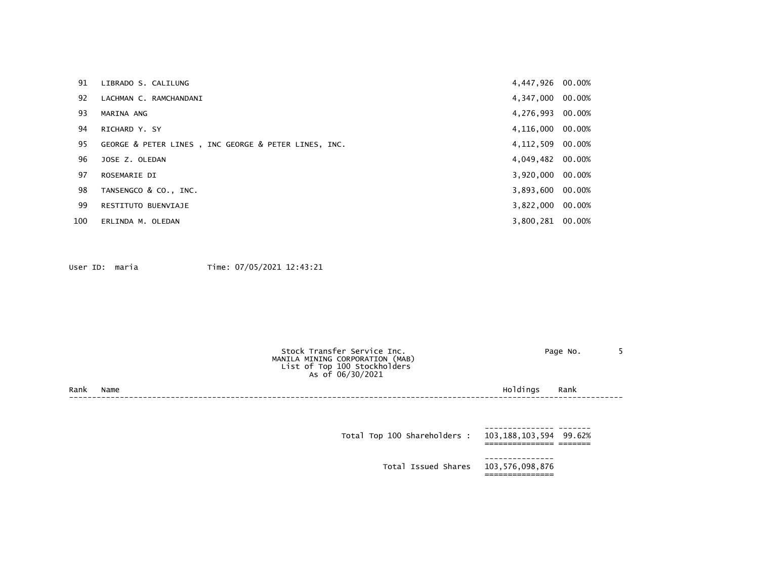| 91  | LIBRADO S. CALILUNG                                  | 4,447,926 00.00%   |  |
|-----|------------------------------------------------------|--------------------|--|
| 92  | LACHMAN C. RAMCHANDANI                               | 4,347,000 00.00%   |  |
| 93  | MARINA ANG                                           | 4,276,993 00.00%   |  |
| 94  | RICHARD Y. SY                                        | 4,116,000 00.00%   |  |
| 95  | GEORGE & PETER LINES, INC GEORGE & PETER LINES, INC. | 4, 112, 509 00.00% |  |
| 96  | JOSE Z. OLEDAN                                       | 4,049,482 00.00%   |  |
| 97  | ROSEMARIE DI                                         | 3,920,000 00.00%   |  |
| 98  | TANSENGCO & CO., INC.                                | 3,893,600 00.00%   |  |
| 99  | RESTITUTO BUENVIAJE                                  | 3,822,000 00.00%   |  |
| 100 | ERLINDA M. OLEDAN                                    | 3,800,281 00.00%   |  |

|      |      | Stock Transfer Service Inc.<br>MANILA MINING CORPORATION (MAB)<br>List of Top 100 Stockholders<br>As of 06/30/2021 | Page No.         |  |
|------|------|--------------------------------------------------------------------------------------------------------------------|------------------|--|
| Rank | Name |                                                                                                                    | Holdings<br>Rank |  |
|      |      |                                                                                                                    |                  |  |
|      |      |                                                                                                                    |                  |  |

| Total Top 100 Shareholders :        | 103,188,103,594 99.62% |  |
|-------------------------------------|------------------------|--|
| Total Issued Shares 103,576,098,876 |                        |  |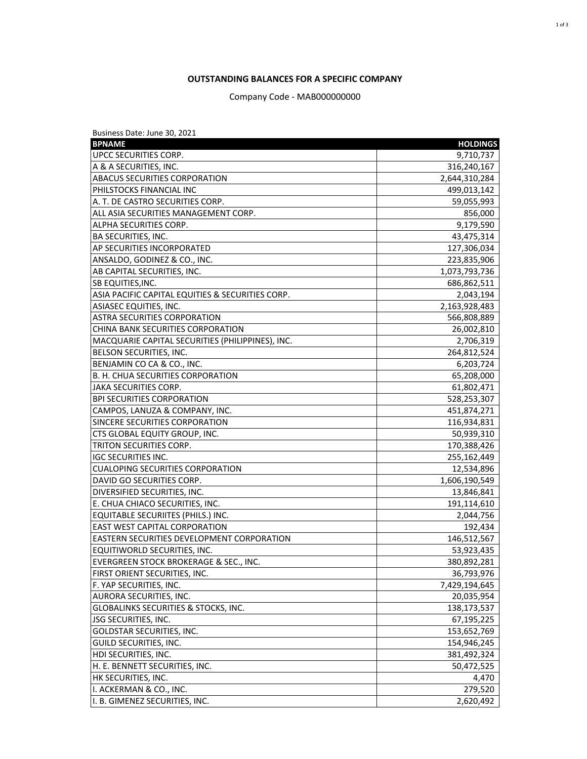# **OUTSTANDING BALANCES FOR A SPECIFIC COMPANY**

Company Code - MAB000000000

| Business Date: June 30, 2021                     |                 |
|--------------------------------------------------|-----------------|
| <b>BPNAME</b>                                    | <b>HOLDINGS</b> |
| UPCC SECURITIES CORP.                            | 9,710,737       |
| A & A SECURITIES, INC.                           | 316,240,167     |
| <b>ABACUS SECURITIES CORPORATION</b>             | 2,644,310,284   |
| PHILSTOCKS FINANCIAL INC                         | 499,013,142     |
| A. T. DE CASTRO SECURITIES CORP.                 | 59,055,993      |
| ALL ASIA SECURITIES MANAGEMENT CORP.             | 856,000         |
| ALPHA SECURITIES CORP.                           | 9,179,590       |
| BA SECURITIES, INC.                              | 43,475,314      |
| AP SECURITIES INCORPORATED                       | 127,306,034     |
| ANSALDO, GODINEZ & CO., INC.                     | 223,835,906     |
| AB CAPITAL SECURITIES, INC.                      | 1,073,793,736   |
| SB EQUITIES, INC.                                | 686,862,511     |
| ASIA PACIFIC CAPITAL EQUITIES & SECURITIES CORP. | 2,043,194       |
| ASIASEC EQUITIES, INC.                           | 2,163,928,483   |
| <b>ASTRA SECURITIES CORPORATION</b>              | 566,808,889     |
| CHINA BANK SECURITIES CORPORATION                | 26,002,810      |
| MACQUARIE CAPITAL SECURITIES (PHILIPPINES), INC. | 2,706,319       |
| BELSON SECURITIES, INC.                          | 264,812,524     |
| BENJAMIN CO CA & CO., INC.                       | 6,203,724       |
| B. H. CHUA SECURITIES CORPORATION                | 65,208,000      |
| <b>JAKA SECURITIES CORP.</b>                     | 61,802,471      |
| <b>BPI SECURITIES CORPORATION</b>                | 528,253,307     |
| CAMPOS, LANUZA & COMPANY, INC.                   | 451,874,271     |
| SINCERE SECURITIES CORPORATION                   | 116,934,831     |
| CTS GLOBAL EQUITY GROUP, INC.                    | 50,939,310      |
| TRITON SECURITIES CORP.                          | 170,388,426     |
| <b>IGC SECURITIES INC.</b>                       | 255,162,449     |
| <b>CUALOPING SECURITIES CORPORATION</b>          | 12,534,896      |
| DAVID GO SECURITIES CORP.                        | 1,606,190,549   |
| DIVERSIFIED SECURITIES, INC.                     | 13,846,841      |
| E. CHUA CHIACO SECURITIES, INC.                  | 191,114,610     |
| <b>EQUITABLE SECURIITES (PHILS.) INC.</b>        | 2,044,756       |
| <b>EAST WEST CAPITAL CORPORATION</b>             | 192,434         |
| EASTERN SECURITIES DEVELOPMENT CORPORATION       | 146,512,567     |
| EQUITIWORLD SECURITIES, INC.                     | 53,923,435      |
| EVERGREEN STOCK BROKERAGE & SEC., INC.           | 380,892,281     |
| FIRST ORIENT SECURITIES, INC.                    | 36,793,976      |
| F. YAP SECURITIES, INC.                          | 7,429,194,645   |
| AURORA SECURITIES, INC.                          | 20,035,954      |
| <b>GLOBALINKS SECURITIES &amp; STOCKS, INC.</b>  | 138,173,537     |
| <b>JSG SECURITIES, INC.</b>                      | 67,195,225      |
| GOLDSTAR SECURITIES, INC.                        | 153,652,769     |
| <b>GUILD SECURITIES, INC.</b>                    | 154,946,245     |
| <b>HDI SECURITIES, INC.</b>                      | 381,492,324     |
| H. E. BENNETT SECURITIES, INC.                   | 50,472,525      |
| HK SECURITIES, INC.                              | 4,470           |
| I. ACKERMAN & CO., INC.                          | 279,520         |
| I. B. GIMENEZ SECURITIES, INC.                   | 2,620,492       |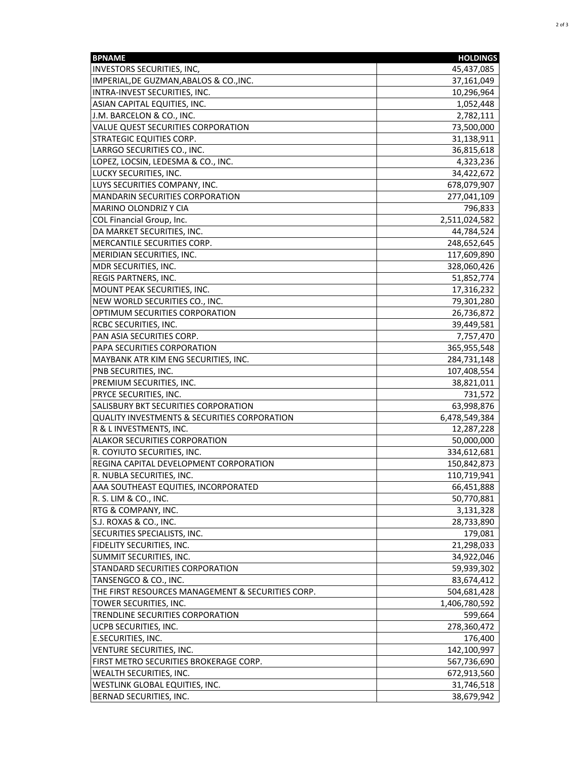| <b>BPNAME</b>                                           | <b>HOLDINGS</b> |
|---------------------------------------------------------|-----------------|
| <b>INVESTORS SECURITIES, INC,</b>                       | 45,437,085      |
| IMPERIAL, DE GUZMAN, ABALOS & CO., INC.                 | 37,161,049      |
| INTRA-INVEST SECURITIES, INC.                           | 10,296,964      |
| ASIAN CAPITAL EQUITIES, INC.                            | 1,052,448       |
| J.M. BARCELON & CO., INC.                               | 2,782,111       |
| VALUE QUEST SECURITIES CORPORATION                      | 73,500,000      |
| <b>STRATEGIC EQUITIES CORP.</b>                         | 31,138,911      |
| LARRGO SECURITIES CO., INC.                             | 36,815,618      |
| LOPEZ, LOCSIN, LEDESMA & CO., INC.                      | 4,323,236       |
| LUCKY SECURITIES, INC.                                  | 34,422,672      |
| LUYS SECURITIES COMPANY, INC.                           | 678,079,907     |
| MANDARIN SECURITIES CORPORATION                         | 277,041,109     |
| <b>MARINO OLONDRIZ Y CIA</b>                            | 796,833         |
| COL Financial Group, Inc.                               | 2,511,024,582   |
| DA MARKET SECURITIES, INC.                              | 44,784,524      |
| MERCANTILE SECURITIES CORP.                             | 248,652,645     |
| MERIDIAN SECURITIES, INC.                               | 117,609,890     |
| MDR SECURITIES, INC.                                    |                 |
| REGIS PARTNERS, INC.                                    | 328,060,426     |
|                                                         | 51,852,774      |
| MOUNT PEAK SECURITIES, INC.                             | 17,316,232      |
| NEW WORLD SECURITIES CO., INC.                          | 79,301,280      |
| OPTIMUM SECURITIES CORPORATION                          | 26,736,872      |
| RCBC SECURITIES, INC.                                   | 39,449,581      |
| PAN ASIA SECURITIES CORP.                               | 7,757,470       |
| PAPA SECURITIES CORPORATION                             | 365,955,548     |
| MAYBANK ATR KIM ENG SECURITIES, INC.                    | 284,731,148     |
| PNB SECURITIES, INC.                                    | 107,408,554     |
| PREMIUM SECURITIES, INC.                                | 38,821,011      |
| PRYCE SECURITIES, INC.                                  | 731,572         |
| SALISBURY BKT SECURITIES CORPORATION                    | 63,998,876      |
| <b>QUALITY INVESTMENTS &amp; SECURITIES CORPORATION</b> | 6,478,549,384   |
| R & L INVESTMENTS, INC.                                 | 12,287,228      |
| <b>ALAKOR SECURITIES CORPORATION</b>                    | 50,000,000      |
| R. COYIUTO SECURITIES, INC.                             | 334,612,681     |
| REGINA CAPITAL DEVELOPMENT CORPORATION                  | 150,842,873     |
| R. NUBLA SECURITIES, INC.                               | 110,719,941     |
| AAA SOUTHEAST EQUITIES, INCORPORATED                    | 66,451,888      |
| R. S. LIM & CO., INC.                                   | 50,770,881      |
| RTG & COMPANY, INC.                                     | 3,131,328       |
| S.J. ROXAS & CO., INC.                                  | 28,733,890      |
| SECURITIES SPECIALISTS, INC.                            | 179,081         |
| <b>FIDELITY SECURITIES, INC.</b>                        | 21,298,033      |
| SUMMIT SECURITIES, INC.                                 | 34,922,046      |
| STANDARD SECURITIES CORPORATION                         | 59,939,302      |
| TANSENGCO & CO., INC.                                   | 83,674,412      |
| THE FIRST RESOURCES MANAGEMENT & SECURITIES CORP.       | 504,681,428     |
| TOWER SECURITIES, INC.                                  | 1,406,780,592   |
| TRENDLINE SECURITIES CORPORATION                        | 599,664         |
| UCPB SECURITIES, INC.                                   | 278,360,472     |
| E.SECURITIES, INC.                                      | 176,400         |
| VENTURE SECURITIES, INC.                                | 142,100,997     |
| FIRST METRO SECURITIES BROKERAGE CORP.                  | 567,736,690     |
| WEALTH SECURITIES, INC.                                 | 672,913,560     |
| WESTLINK GLOBAL EQUITIES, INC.                          | 31,746,518      |
| BERNAD SECURITIES, INC.                                 | 38,679,942      |
|                                                         |                 |